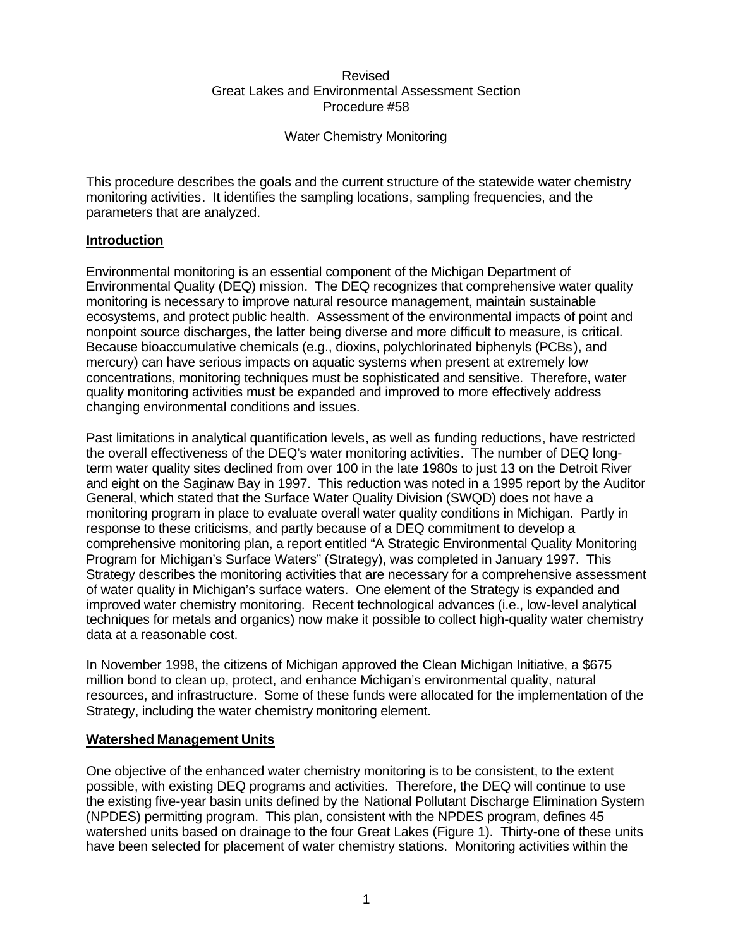### Revised Great Lakes and Environmental Assessment Section Procedure #58

Water Chemistry Monitoring

This procedure describes the goals and the current structure of the statewide water chemistry monitoring activities. It identifies the sampling locations, sampling frequencies, and the parameters that are analyzed.

# **Introduction**

Environmental monitoring is an essential component of the Michigan Department of Environmental Quality (DEQ) mission. The DEQ recognizes that comprehensive water quality monitoring is necessary to improve natural resource management, maintain sustainable ecosystems, and protect public health. Assessment of the environmental impacts of point and nonpoint source discharges, the latter being diverse and more difficult to measure, is critical. Because bioaccumulative chemicals (e.g., dioxins, polychlorinated biphenyls (PCBs), and mercury) can have serious impacts on aquatic systems when present at extremely low concentrations, monitoring techniques must be sophisticated and sensitive. Therefore, water quality monitoring activities must be expanded and improved to more effectively address changing environmental conditions and issues.

Past limitations in analytical quantification levels, as well as funding reductions, have restricted the overall effectiveness of the DEQ's water monitoring activities. The number of DEQ longterm water quality sites declined from over 100 in the late 1980s to just 13 on the Detroit River and eight on the Saginaw Bay in 1997. This reduction was noted in a 1995 report by the Auditor General, which stated that the Surface Water Quality Division (SWQD) does not have a monitoring program in place to evaluate overall water quality conditions in Michigan. Partly in response to these criticisms, and partly because of a DEQ commitment to develop a comprehensive monitoring plan, a report entitled "A Strategic Environmental Quality Monitoring Program for Michigan's Surface Waters" (Strategy), was completed in January 1997. This Strategy describes the monitoring activities that are necessary for a comprehensive assessment of water quality in Michigan's surface waters. One element of the Strategy is expanded and improved water chemistry monitoring. Recent technological advances (i.e., low-level analytical techniques for metals and organics) now make it possible to collect high-quality water chemistry data at a reasonable cost.

In November 1998, the citizens of Michigan approved the Clean Michigan Initiative, a \$675 million bond to clean up, protect, and enhance Michigan's environmental quality, natural resources, and infrastructure. Some of these funds were allocated for the implementation of the Strategy, including the water chemistry monitoring element.

## **Watershed Management Units**

One objective of the enhanced water chemistry monitoring is to be consistent, to the extent possible, with existing DEQ programs and activities. Therefore, the DEQ will continue to use the existing five-year basin units defined by the National Pollutant Discharge Elimination System (NPDES) permitting program. This plan, consistent with the NPDES program, defines 45 watershed units based on drainage to the four Great Lakes (Figure 1). Thirty-one of these units have been selected for placement of water chemistry stations. Monitoring activities within the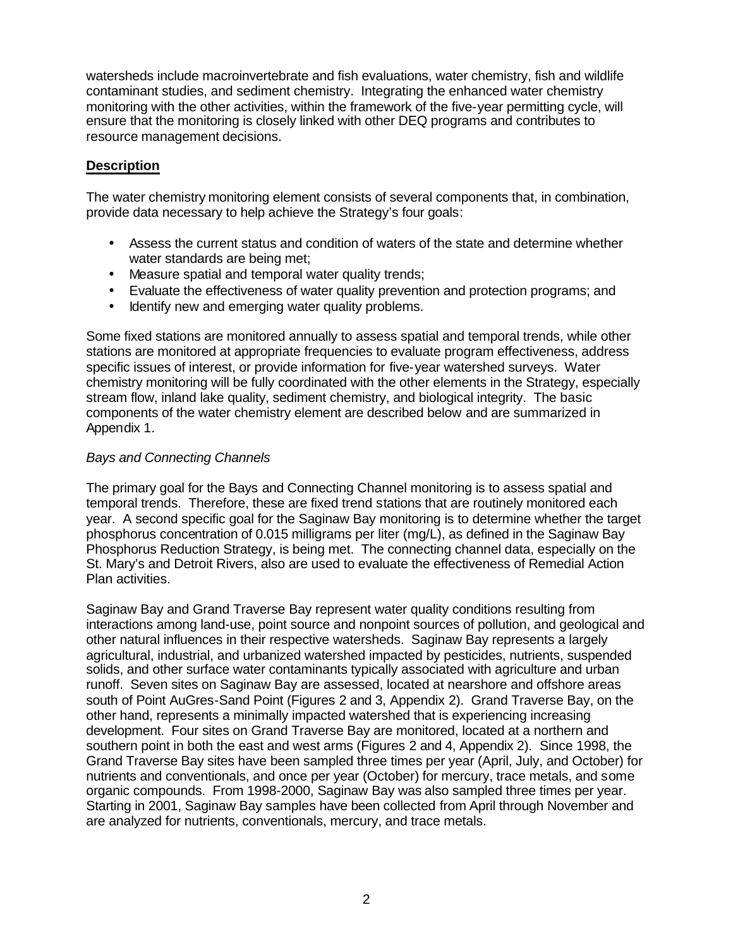watersheds include macroinvertebrate and fish evaluations, water chemistry, fish and wildlife contaminant studies, and sediment chemistry. Integrating the enhanced water chemistry monitoring with the other activities, within the framework of the five-year permitting cycle, will ensure that the monitoring is closely linked with other DEQ programs and contributes to resource management decisions.

## **Description**

The water chemistry monitoring element consists of several components that, in combination, provide data necessary to help achieve the Strategy's four goals:

- Assess the current status and condition of waters of the state and determine whether water standards are being met;
- Measure spatial and temporal water quality trends;
- Evaluate the effectiveness of water quality prevention and protection programs; and
- Identify new and emerging water quality problems.

Some fixed stations are monitored annually to assess spatial and temporal trends, while other stations are monitored at appropriate frequencies to evaluate program effectiveness, address specific issues of interest, or provide information for five-year watershed surveys. Water chemistry monitoring will be fully coordinated with the other elements in the Strategy, especially stream flow, inland lake quality, sediment chemistry, and biological integrity. The basic components of the water chemistry element are described below and are summarized in Appendix 1.

# *Bays and Connecting Channels*

The primary goal for the Bays and Connecting Channel monitoring is to assess spatial and temporal trends. Therefore, these are fixed trend stations that are routinely monitored each year. A second specific goal for the Saginaw Bay monitoring is to determine whether the target phosphorus concentration of 0.015 milligrams per liter (mg/L), as defined in the Saginaw Bay Phosphorus Reduction Strategy, is being met. The connecting channel data, especially on the St. Mary's and Detroit Rivers, also are used to evaluate the effectiveness of Remedial Action Plan activities.

Saginaw Bay and Grand Traverse Bay represent water quality conditions resulting from interactions among land-use, point source and nonpoint sources of pollution, and geological and other natural influences in their respective watersheds. Saginaw Bay represents a largely agricultural, industrial, and urbanized watershed impacted by pesticides, nutrients, suspended solids, and other surface water contaminants typically associated with agriculture and urban runoff. Seven sites on Saginaw Bay are assessed, located at nearshore and offshore areas south of Point AuGres-Sand Point (Figures 2 and 3, Appendix 2). Grand Traverse Bay, on the other hand, represents a minimally impacted watershed that is experiencing increasing development. Four sites on Grand Traverse Bay are monitored, located at a northern and southern point in both the east and west arms (Figures 2 and 4, Appendix 2). Since 1998, the Grand Traverse Bay sites have been sampled three times per year (April, July, and October) for nutrients and conventionals, and once per year (October) for mercury, trace metals, and some organic compounds. From 1998-2000, Saginaw Bay was also sampled three times per year. Starting in 2001, Saginaw Bay samples have been collected from April through November and are analyzed for nutrients, conventionals, mercury, and trace metals.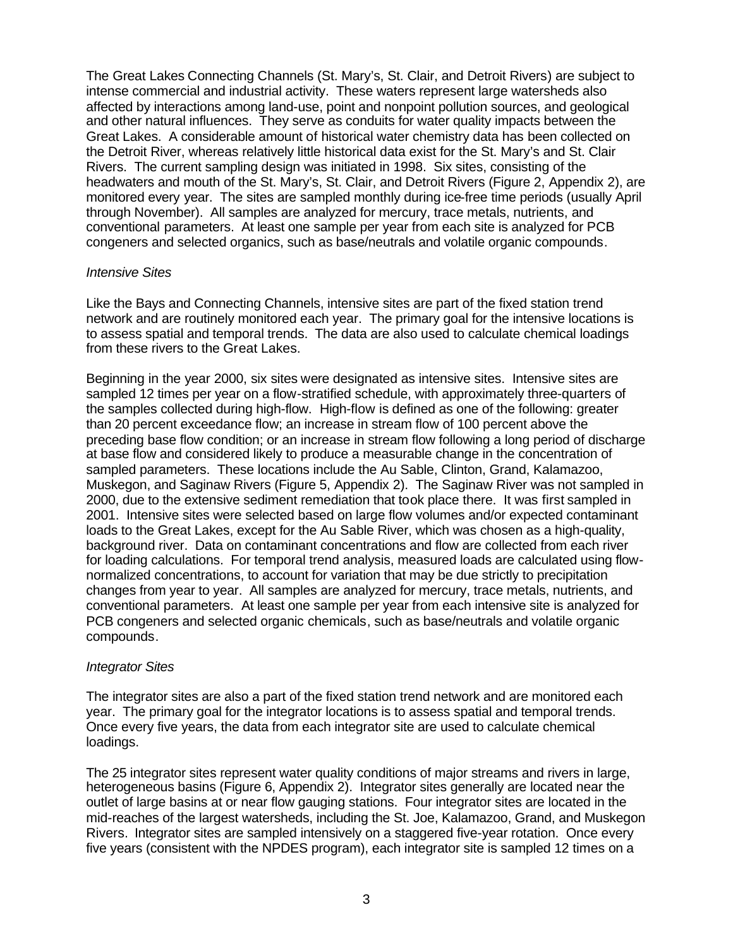The Great Lakes Connecting Channels (St. Mary's, St. Clair, and Detroit Rivers) are subject to intense commercial and industrial activity. These waters represent large watersheds also affected by interactions among land-use, point and nonpoint pollution sources, and geological and other natural influences. They serve as conduits for water quality impacts between the Great Lakes. A considerable amount of historical water chemistry data has been collected on the Detroit River, whereas relatively little historical data exist for the St. Mary's and St. Clair Rivers. The current sampling design was initiated in 1998. Six sites, consisting of the headwaters and mouth of the St. Mary's, St. Clair, and Detroit Rivers (Figure 2, Appendix 2), are monitored every year. The sites are sampled monthly during ice-free time periods (usually April through November). All samples are analyzed for mercury, trace metals, nutrients, and conventional parameters. At least one sample per year from each site is analyzed for PCB congeners and selected organics, such as base/neutrals and volatile organic compounds.

### *Intensive Sites*

Like the Bays and Connecting Channels, intensive sites are part of the fixed station trend network and are routinely monitored each year. The primary goal for the intensive locations is to assess spatial and temporal trends. The data are also used to calculate chemical loadings from these rivers to the Great Lakes.

Beginning in the year 2000, six sites were designated as intensive sites. Intensive sites are sampled 12 times per year on a flow-stratified schedule, with approximately three-quarters of the samples collected during high-flow. High-flow is defined as one of the following: greater than 20 percent exceedance flow; an increase in stream flow of 100 percent above the preceding base flow condition; or an increase in stream flow following a long period of discharge at base flow and considered likely to produce a measurable change in the concentration of sampled parameters. These locations include the Au Sable, Clinton, Grand, Kalamazoo, Muskegon, and Saginaw Rivers (Figure 5, Appendix 2). The Saginaw River was not sampled in 2000, due to the extensive sediment remediation that took place there. It was first sampled in 2001. Intensive sites were selected based on large flow volumes and/or expected contaminant loads to the Great Lakes, except for the Au Sable River, which was chosen as a high-quality, background river. Data on contaminant concentrations and flow are collected from each river for loading calculations. For temporal trend analysis, measured loads are calculated using flownormalized concentrations, to account for variation that may be due strictly to precipitation changes from year to year. All samples are analyzed for mercury, trace metals, nutrients, and conventional parameters. At least one sample per year from each intensive site is analyzed for PCB congeners and selected organic chemicals, such as base/neutrals and volatile organic compounds.

#### *Integrator Sites*

The integrator sites are also a part of the fixed station trend network and are monitored each year. The primary goal for the integrator locations is to assess spatial and temporal trends. Once every five years, the data from each integrator site are used to calculate chemical loadings.

The 25 integrator sites represent water quality conditions of major streams and rivers in large, heterogeneous basins (Figure 6, Appendix 2). Integrator sites generally are located near the outlet of large basins at or near flow gauging stations. Four integrator sites are located in the mid-reaches of the largest watersheds, including the St. Joe, Kalamazoo, Grand, and Muskegon Rivers. Integrator sites are sampled intensively on a staggered five-year rotation. Once every five years (consistent with the NPDES program), each integrator site is sampled 12 times on a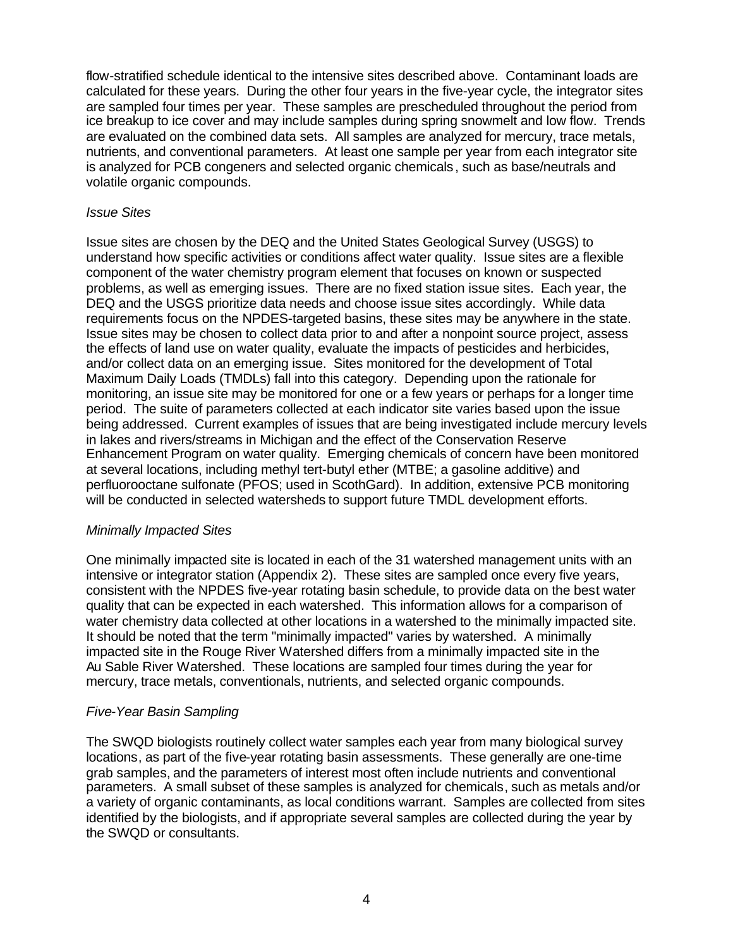flow-stratified schedule identical to the intensive sites described above. Contaminant loads are calculated for these years. During the other four years in the five-year cycle, the integrator sites are sampled four times per year. These samples are prescheduled throughout the period from ice breakup to ice cover and may include samples during spring snowmelt and low flow. Trends are evaluated on the combined data sets. All samples are analyzed for mercury, trace metals, nutrients, and conventional parameters. At least one sample per year from each integrator site is analyzed for PCB congeners and selected organic chemicals, such as base/neutrals and volatile organic compounds.

### *Issue Sites*

Issue sites are chosen by the DEQ and the United States Geological Survey (USGS) to understand how specific activities or conditions affect water quality. Issue sites are a flexible component of the water chemistry program element that focuses on known or suspected problems, as well as emerging issues. There are no fixed station issue sites. Each year, the DEQ and the USGS prioritize data needs and choose issue sites accordingly. While data requirements focus on the NPDES-targeted basins, these sites may be anywhere in the state. Issue sites may be chosen to collect data prior to and after a nonpoint source project, assess the effects of land use on water quality, evaluate the impacts of pesticides and herbicides, and/or collect data on an emerging issue. Sites monitored for the development of Total Maximum Daily Loads (TMDLs) fall into this category. Depending upon the rationale for monitoring, an issue site may be monitored for one or a few years or perhaps for a longer time period. The suite of parameters collected at each indicator site varies based upon the issue being addressed. Current examples of issues that are being investigated include mercury levels in lakes and rivers/streams in Michigan and the effect of the Conservation Reserve Enhancement Program on water quality. Emerging chemicals of concern have been monitored at several locations, including methyl tert-butyl ether (MTBE; a gasoline additive) and perfluorooctane sulfonate (PFOS; used in ScothGard). In addition, extensive PCB monitoring will be conducted in selected watersheds to support future TMDL development efforts.

## *Minimally Impacted Sites*

One minimally impacted site is located in each of the 31 watershed management units with an intensive or integrator station (Appendix 2). These sites are sampled once every five years, consistent with the NPDES five-year rotating basin schedule, to provide data on the best water quality that can be expected in each watershed. This information allows for a comparison of water chemistry data collected at other locations in a watershed to the minimally impacted site. It should be noted that the term "minimally impacted" varies by watershed. A minimally impacted site in the Rouge River Watershed differs from a minimally impacted site in the Au Sable River Watershed. These locations are sampled four times during the year for mercury, trace metals, conventionals, nutrients, and selected organic compounds.

## *Five-Year Basin Sampling*

The SWQD biologists routinely collect water samples each year from many biological survey locations, as part of the five-year rotating basin assessments. These generally are one-time grab samples, and the parameters of interest most often include nutrients and conventional parameters. A small subset of these samples is analyzed for chemicals, such as metals and/or a variety of organic contaminants, as local conditions warrant. Samples are collected from sites identified by the biologists, and if appropriate several samples are collected during the year by the SWQD or consultants.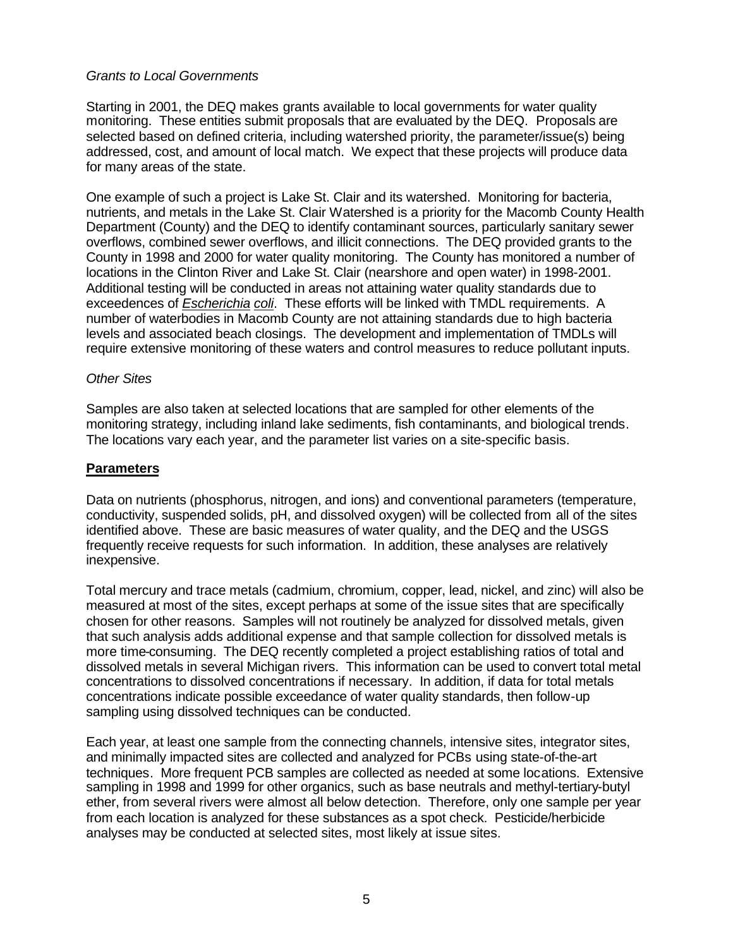# *Grants to Local Governments*

Starting in 2001, the DEQ makes grants available to local governments for water quality monitoring. These entities submit proposals that are evaluated by the DEQ. Proposals are selected based on defined criteria, including watershed priority, the parameter/issue(s) being addressed, cost, and amount of local match. We expect that these projects will produce data for many areas of the state.

One example of such a project is Lake St. Clair and its watershed. Monitoring for bacteria, nutrients, and metals in the Lake St. Clair Watershed is a priority for the Macomb County Health Department (County) and the DEQ to identify contaminant sources, particularly sanitary sewer overflows, combined sewer overflows, and illicit connections. The DEQ provided grants to the County in 1998 and 2000 for water quality monitoring. The County has monitored a number of locations in the Clinton River and Lake St. Clair (nearshore and open water) in 1998-2001. Additional testing will be conducted in areas not attaining water quality standards due to exceedences of *Escherichia coli*. These efforts will be linked with TMDL requirements. A number of waterbodies in Macomb County are not attaining standards due to high bacteria levels and associated beach closings. The development and implementation of TMDLs will require extensive monitoring of these waters and control measures to reduce pollutant inputs.

### *Other Sites*

Samples are also taken at selected locations that are sampled for other elements of the monitoring strategy, including inland lake sediments, fish contaminants, and biological trends. The locations vary each year, and the parameter list varies on a site-specific basis.

### **Parameters**

Data on nutrients (phosphorus, nitrogen, and ions) and conventional parameters (temperature, conductivity, suspended solids, pH, and dissolved oxygen) will be collected from all of the sites identified above. These are basic measures of water quality, and the DEQ and the USGS frequently receive requests for such information. In addition, these analyses are relatively inexpensive.

Total mercury and trace metals (cadmium, chromium, copper, lead, nickel, and zinc) will also be measured at most of the sites, except perhaps at some of the issue sites that are specifically chosen for other reasons. Samples will not routinely be analyzed for dissolved metals, given that such analysis adds additional expense and that sample collection for dissolved metals is more time-consuming. The DEQ recently completed a project establishing ratios of total and dissolved metals in several Michigan rivers. This information can be used to convert total metal concentrations to dissolved concentrations if necessary. In addition, if data for total metals concentrations indicate possible exceedance of water quality standards, then follow-up sampling using dissolved techniques can be conducted.

Each year, at least one sample from the connecting channels, intensive sites, integrator sites, and minimally impacted sites are collected and analyzed for PCBs using state-of-the-art techniques. More frequent PCB samples are collected as needed at some locations. Extensive sampling in 1998 and 1999 for other organics, such as base neutrals and methyl-tertiary-butyl ether, from several rivers were almost all below detection. Therefore, only one sample per year from each location is analyzed for these substances as a spot check. Pesticide/herbicide analyses may be conducted at selected sites, most likely at issue sites.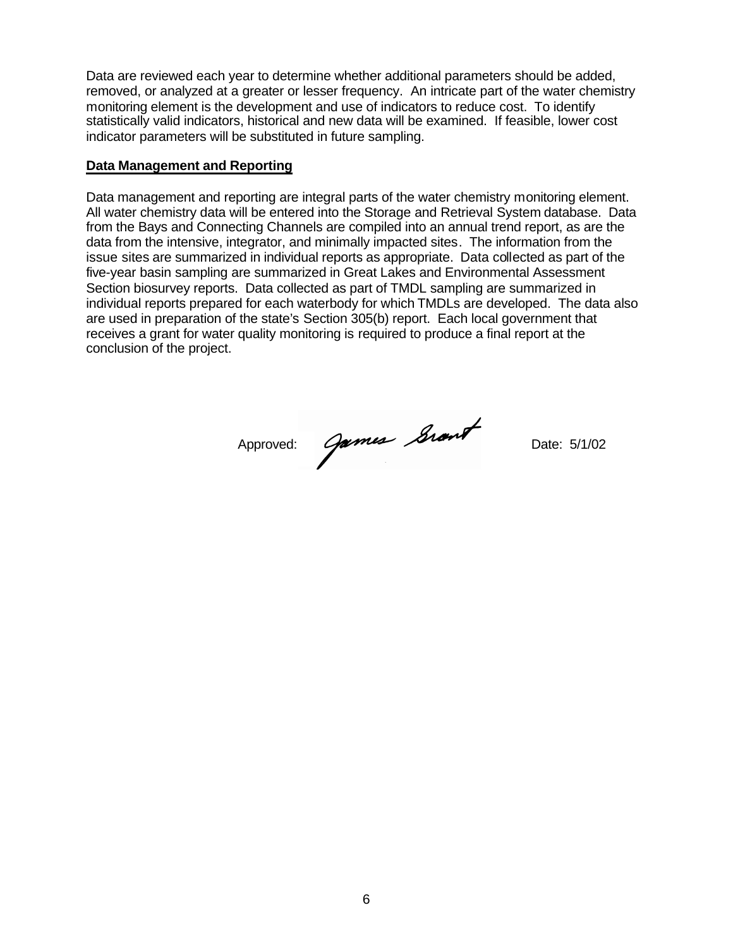Data are reviewed each year to determine whether additional parameters should be added, removed, or analyzed at a greater or lesser frequency. An intricate part of the water chemistry monitoring element is the development and use of indicators to reduce cost. To identify statistically valid indicators, historical and new data will be examined. If feasible, lower cost indicator parameters will be substituted in future sampling.

#### **Data Management and Reporting**

Data management and reporting are integral parts of the water chemistry monitoring element. All water chemistry data will be entered into the Storage and Retrieval System database. Data from the Bays and Connecting Channels are compiled into an annual trend report, as are the data from the intensive, integrator, and minimally impacted sites. The information from the issue sites are summarized in individual reports as appropriate. Data collected as part of the five-year basin sampling are summarized in Great Lakes and Environmental Assessment Section biosurvey reports. Data collected as part of TMDL sampling are summarized in individual reports prepared for each waterbody for which TMDLs are developed. The data also are used in preparation of the state's Section 305(b) report. Each local government that receives a grant for water quality monitoring is required to produce a final report at the conclusion of the project.

Approved: Games Srant Date: 5/1/02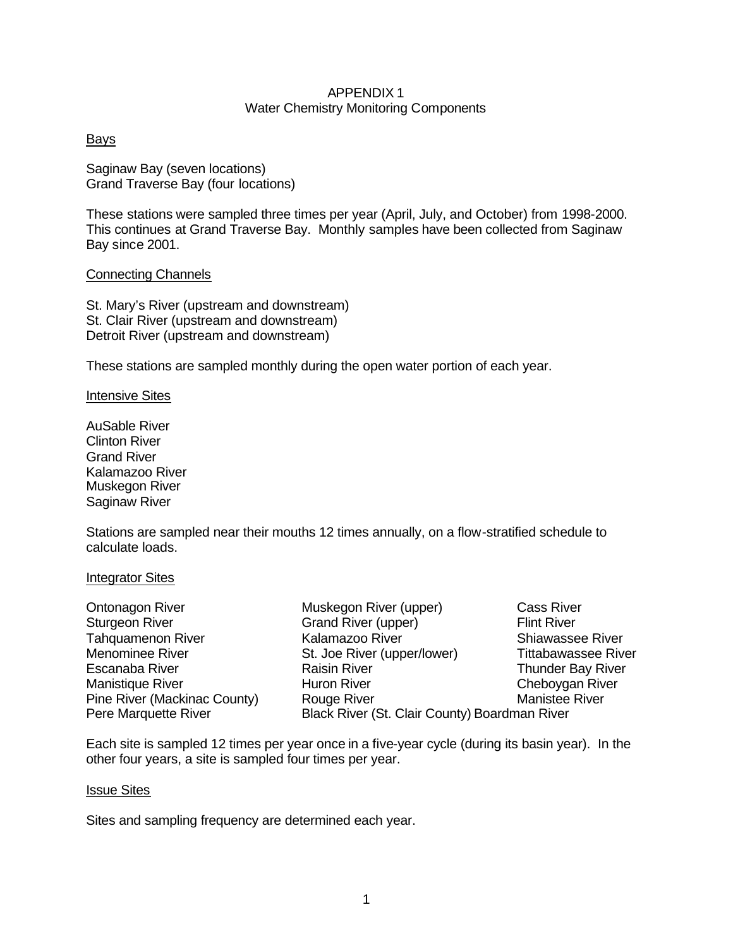### APPENDIX 1 Water Chemistry Monitoring Components

### Bays

Saginaw Bay (seven locations) Grand Traverse Bay (four locations)

These stations were sampled three times per year (April, July, and October) from 1998-2000. This continues at Grand Traverse Bay. Monthly samples have been collected from Saginaw Bay since 2001.

#### Connecting Channels

St. Mary's River (upstream and downstream) St. Clair River (upstream and downstream) Detroit River (upstream and downstream)

These stations are sampled monthly during the open water portion of each year.

#### Intensive Sites

AuSable River Clinton River Grand River Kalamazoo River Muskegon River Saginaw River

Stations are sampled near their mouths 12 times annually, on a flow-stratified schedule to calculate loads.

#### Integrator Sites

| Ontonagon River              | Muskegon River (upper)                        | <b>Cass River</b>          |
|------------------------------|-----------------------------------------------|----------------------------|
| <b>Sturgeon River</b>        | Grand River (upper)                           | <b>Flint River</b>         |
| <b>Tahquamenon River</b>     | Kalamazoo River                               | <b>Shiawassee River</b>    |
| <b>Menominee River</b>       | St. Joe River (upper/lower)                   | <b>Tittabawassee River</b> |
| Escanaba River               | <b>Raisin River</b>                           | <b>Thunder Bay River</b>   |
| Manistique River             | <b>Huron River</b>                            | Cheboygan River            |
| Pine River (Mackinac County) | Rouge River                                   | <b>Manistee River</b>      |
| Pere Marquette River         | Black River (St. Clair County) Boardman River |                            |

Each site is sampled 12 times per year once in a five-year cycle (during its basin year). In the other four years, a site is sampled four times per year.

#### Issue Sites

Sites and sampling frequency are determined each year.